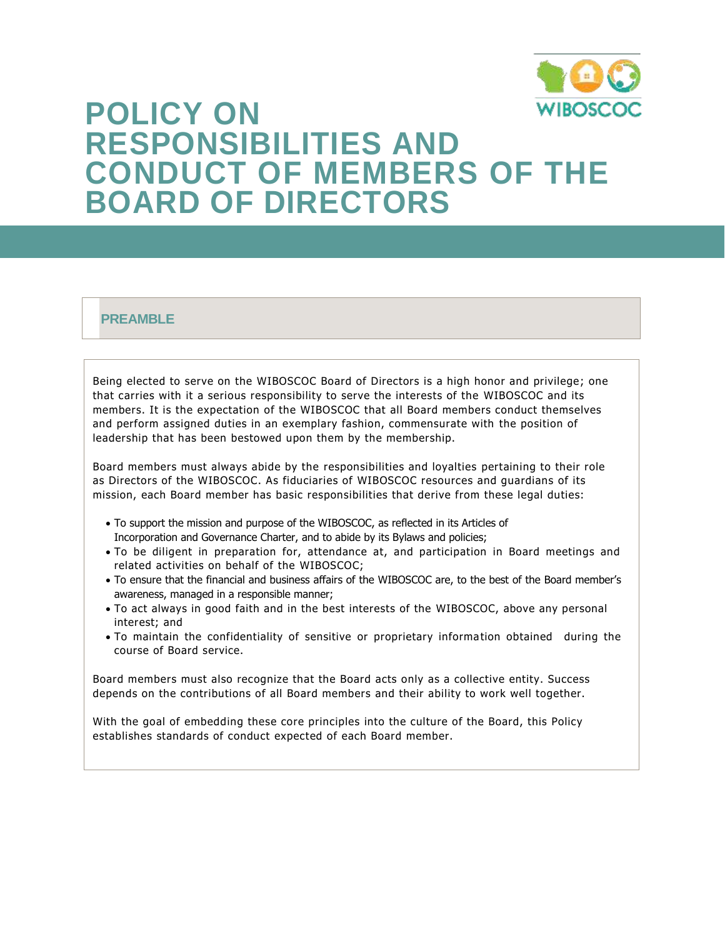

# **POLICY ON RESPONSIBILITIES AND CONDUCT OF MEMBERS OF THE BOARD OF DIRECTORS**

### **PREAMBLE**

Being elected to serve on the WIBOSCOC Board of Directors is a high honor and privilege; one that carries with it a serious responsibility to serve the interests of the WIBOSCOC and its members. It is the expectation of the WIBOSCOC that all Board members conduct themselves and perform assigned duties in an exemplary fashion, commensurate with the position of leadership that has been bestowed upon them by the membership.

Board members must always abide by the responsibilities and loyalties pertaining to their role as Directors of the WIBOSCOC. As fiduciaries of WIBOSCOC resources and guardians of its mission, each Board member has basic responsibilities that derive from these legal duties:

- To support the mission and purpose of the WIBOSCOC, as reflected in its Articles of Incorporation and Governance Charter, and to abide by its Bylaws and policies;
- To be diligent in preparation for, attendance at, and participation in Board meetings and related activities on behalf of the WIBOSCOC;
- To ensure that the financial and business affairs of the WIBOSCOC are, to the best of the Board member's awareness, managed in a responsible manner;
- To act always in good faith and in the best interests of the WIBOSCOC, above any personal interest; and
- To maintain the confidentiality of sensitive or proprietary information obtained during the course of Board service.

Board members must also recognize that the Board acts only as a collective entity. Success depends on the contributions of all Board members and their ability to work well together.

With the goal of embedding these core principles into the culture of the Board, this Policy establishes standards of conduct expected of each Board member.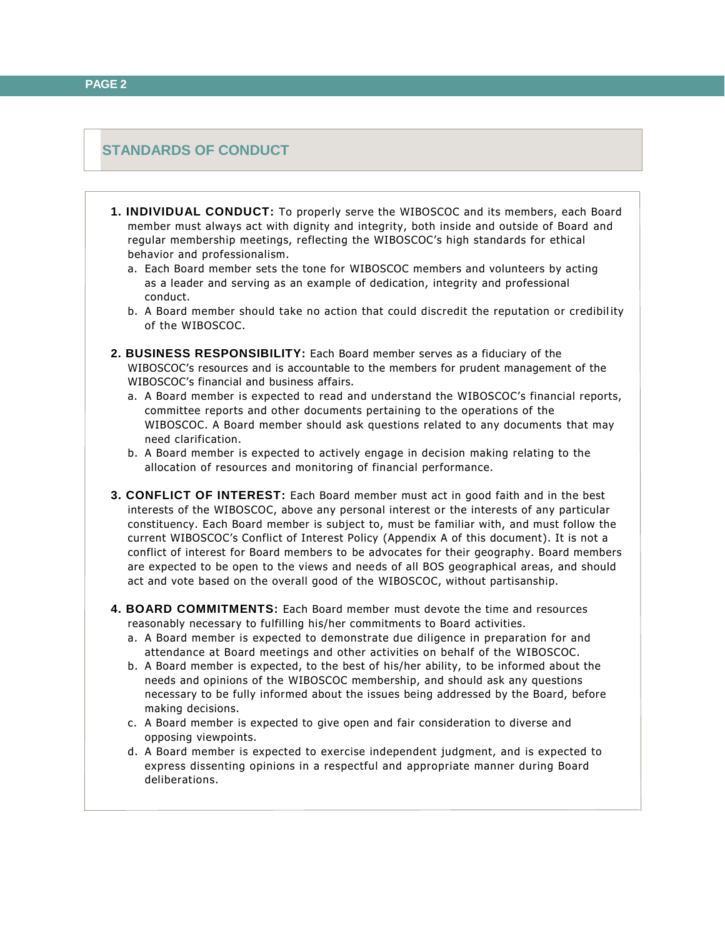## **STANDARDS OF CONDUCT**

- **1. INDIVIDUAL CONDUCT:** To properly serve the WIBOSCOC and its members, each Board member must always act with dignity and integrity, both inside and outside of Board and regular membership meetings, reflecting the WIBOSCOC's high standards for ethical behavior and professionalism.
	- a. Each Board member sets the tone for WIBOSCOC members and volunteers by acting as a leader and serving as an example of dedication, integrity and professional conduct.
	- b. A Board member should take no action that could discredit the reputation or credibil ity of the WIBOSCOC.
- **2. BUSINESS RESPONSIBILITY:** Each Board member serves as a fiduciary of the WIBOSCOC's resources and is accountable to the members for prudent management of the WIBOSCOC's financial and business affairs.
	- a. A Board member is expected to read and understand the WIBOSCOC's financial reports, committee reports and other documents pertaining to the operations of the WIBOSCOC. A Board member should ask questions related to any documents that may need clarification.
	- b. A Board member is expected to actively engage in decision making relating to the allocation of resources and monitoring of financial performance.
- **3. CONFLICT OF INTEREST:** Each Board member must act in good faith and in the best interests of the WIBOSCOC, above any personal interest or the interests of any particular constituency. Each Board member is subject to, must be familiar with, and must follow the current WIBOSCOC's Conflict of Interest Policy (Appendix A of this document). It is not a conflict of interest for Board members to be advocates for their geography. Board members are expected to be open to the views and needs of all BOS geographical areas, and should act and vote based on the overall good of the WIBOSCOC, without partisanship.
- **4. BOARD COMMITMENTS:** Each Board member must devote the time and resources reasonably necessary to fulfilling his/her commitments to Board activities.
	- a. A Board member is expected to demonstrate due diligence in preparation for and attendance at Board meetings and other activities on behalf of the WIBOSCOC.
	- b. A Board member is expected, to the best of his/her ability, to be informed about the needs and opinions of the WIBOSCOC membership, and should ask any questions necessary to be fully informed about the issues being addressed by the Board, before making decisions.
	- c. A Board member is expected to give open and fair consideration to diverse and opposing viewpoints.
	- d. A Board member is expected to exercise independent judgment, and is expected to express dissenting opinions in a respectful and appropriate manner during Board deliberations.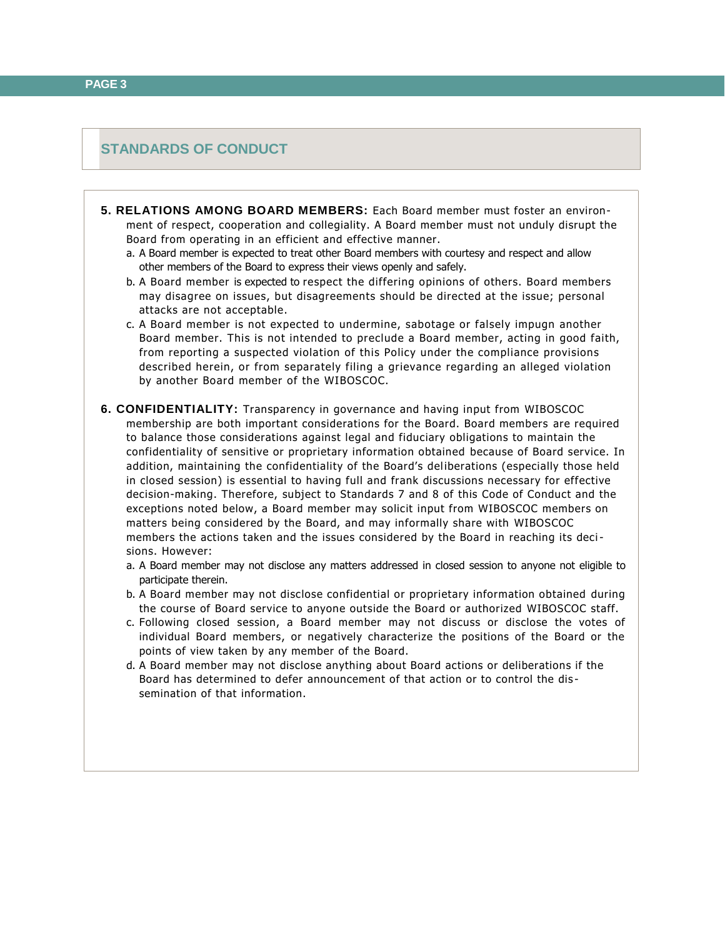#### **STANDARDS OF CONDUCT**

- **5. RELATIONS AMONG BOARD MEMBERS:** Each Board member must foster an environment of respect, cooperation and collegiality. A Board member must not unduly disrupt the Board from operating in an efficient and effective manner.
	- a. A Board member is expected to treat other Board members with courtesy and respect and allow other members of the Board to express their views openly and safely.
	- b. A Board member is expected to respect the differing opinions of others. Board members may disagree on issues, but disagreements should be directed at the issue; personal attacks are not acceptable.
	- c. A Board member is not expected to undermine, sabotage or falsely impugn another Board member. This is not intended to preclude a Board member, acting in good faith, from reporting a suspected violation of this Policy under the compliance provisions described herein, or from separately filing a grievance regarding an alleged violation by another Board member of the WIBOSCOC.
- **6. CONFIDENTIALITY:** Transparency in governance and having input from WIBOSCOC membership are both important considerations for the Board. Board members are required to balance those considerations against legal and fiduciary obligations to maintain the confidentiality of sensitive or proprietary information obtained because of Board service. In addition, maintaining the confidentiality of the Board's del iberations (especially those held in closed session) is essential to having full and frank discussions necessary for effective decision-making. Therefore, subject to Standards 7 and 8 of this Code of Conduct and the exceptions noted below, a Board member may solicit input from WIBOSCOC members on matters being considered by the Board, and may informally share with WIBOSCOC members the actions taken and the issues considered by the Board in reaching its decisions. However:
	- a. A Board member may not disclose any matters addressed in closed session to anyone not eligible to participate therein.
	- b. A Board member may not disclose confidential or proprietary information obtained during the course of Board service to anyone outside the Board or authorized WIBOSCOC staff.
	- c. Following closed session, a Board member may not discuss or disclose the votes of individual Board members, or negatively characterize the positions of the Board or the points of view taken by any member of the Board.
	- d. A Board member may not disclose anything about Board actions or deliberations if the Board has determined to defer announcement of that action or to control the dis semination of that information.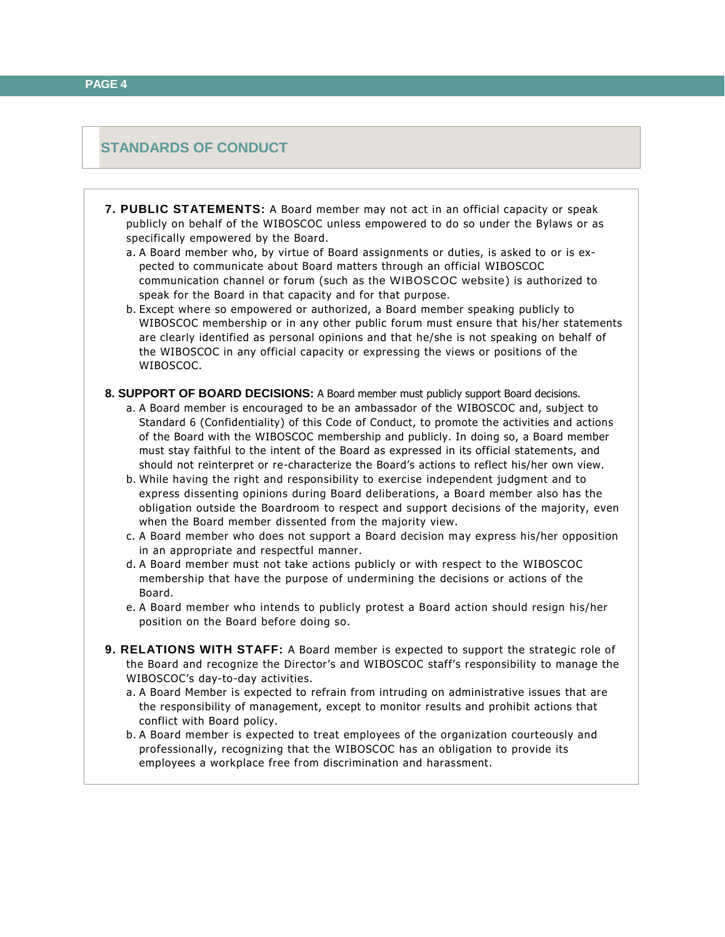#### **STANDARDS OF CONDUCT**

- **7. PUBLIC STATEMENTS:** A Board member may not act in an official capacity or speak publicly on behalf of the WIBOSCOC unless empowered to do so under the Bylaws or as specifically empowered by the Board.
	- a. A Board member who, by virtue of Board assignments or duties, is asked to or is expected to communicate about Board matters through an official WIBOSCOC communication channel or forum (such as the WIBOSCOC website) is authorized to speak for the Board in that capacity and for that purpose.
	- b. Except where so empowered or authorized, a Board member speaking publicly to WIBOSCOC membership or in any other public forum must ensure that his/her statements are clearly identified as personal opinions and that he/she is not speaking on behalf of the WIBOSCOC in any official capacity or expressing the views or positions of the WIBOSCOC.
- **8. SUPPORT OF BOARD DECISIONS:** A Board member must publicly support Board decisions.
	- a. A Board member is encouraged to be an ambassador of the WIBOSCOC and, subject to Standard 6 (Confidentiality) of this Code of Conduct, to promote the activities and actions of the Board with the WIBOSCOC membership and publicly. In doing so, a Board member must stay faithful to the intent of the Board as expressed in its official statements, and should not reinterpret or re-characterize the Board's actions to reflect his/her own view.
	- b. While having the right and responsibility to exercise independent judgment and to express dissenting opinions during Board deliberations, a Board member also has the obligation outside the Boardroom to respect and support decisions of the majority, even when the Board member dissented from the majority view.
	- c. A Board member who does not support a Board decision may express his/her opposition in an appropriate and respectful manner.
	- d. A Board member must not take actions publicly or with respect to the WIBOSCOC membership that have the purpose of undermining the decisions or actions of the Board.
	- e. A Board member who intends to publicly protest a Board action should resign his/her position on the Board before doing so.
- **9. RELATIONS WITH STAFF:** A Board member is expected to support the strategic role of the Board and recognize the Director's and WIBOSCOC staff's responsibility to manage the WIBOSCOC's day-to-day activities.
	- a. A Board Member is expected to refrain from intruding on administrative issues that are the responsibility of management, except to monitor results and prohibit actions that conflict with Board policy.
	- b. A Board member is expected to treat employees of the organization courteously and professionally, recognizing that the WIBOSCOC has an obligation to provide its employees a workplace free from discrimination and harassment.